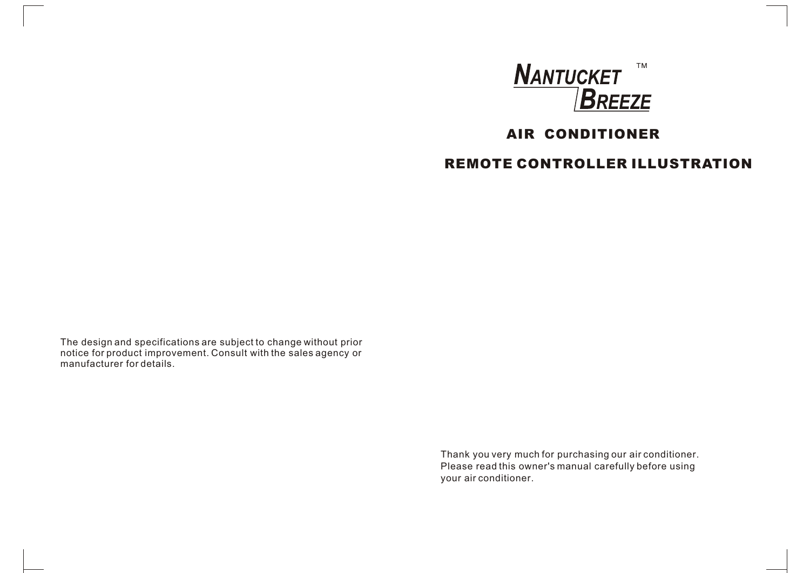

# **AIR CONDITIONER**

# **REMOTE CONTROLLER ILLUSTRATION**

The design and specifications are subject to change without prior notice for product improvement. Consult with the sales agency or manufacturer for details.

> Thank you very much for purchasing our air conditioner. Please read this owner's manual carefully before using your air conditioner.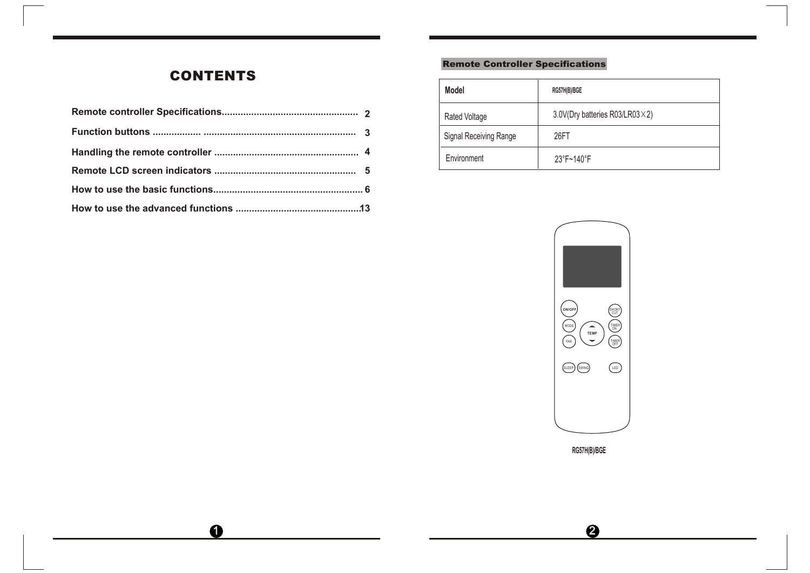# **CONTENTS**

|  | Rated Voltage          | 3.0V(Dry bat |
|--|------------------------|--------------|
|  | Signal Receiving Range | 26FT         |
|  | Environment            | 23°F~140°F   |
|  |                        |              |
|  |                        |              |
|  |                        |              |

 $\bullet$ 

# Remote Controller Specifications

| Model                  | RG57H(B)/BGE                   |
|------------------------|--------------------------------|
| Rated Voltage          | 3.0V(Dry batteries R03/LR03×2) |
| Signal Receiving Range | 26FT                           |
| Environment            | 23°F~140°F                     |



**RG57H(B)/BGE**

 $\bigcirc$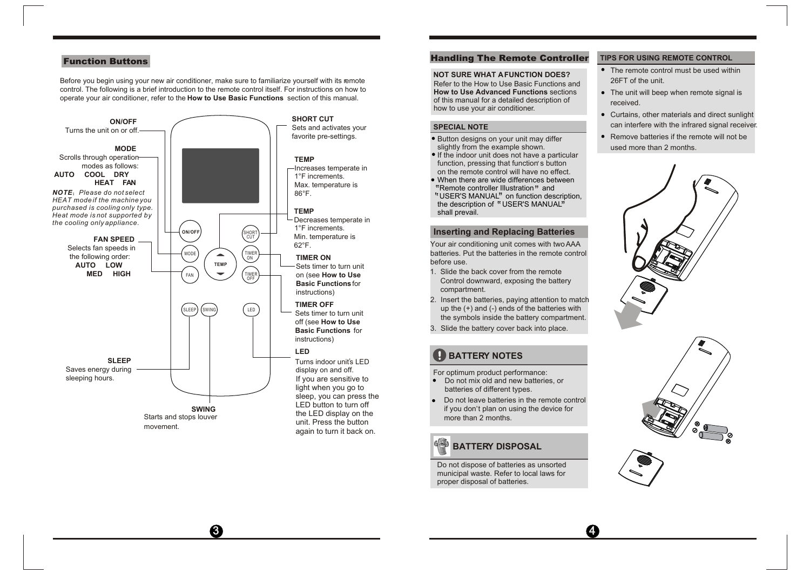Before you begin using your new air conditioner, make sure to familiarize yourself with its remote control. The following is a brief introduction to the remote control itself. For instructions on how to operate your air conditioner, refer to the **How to Use Basic Functions** section of this manual.



## Function Buttons **Function Buttons**

#### **NOT SURE WHAT A FUNCTION DOES?**

Refer to the How to Use Basic Functions and **How to Use Advanced Functions** sections of this manual for a detailed description of how to use your air conditioner.

#### **SPECIAL NOTE**

- Button designs on your unit may differ slightly from the example shown.
- If the indoor unit does not have a particular If the massive time assess not have a particular function, pressing that function's button on the remote control will have no effect.
- When there are wide differences between Remote controller Illustration" and When there are wide differences between<br>"Remote controller Illustration" and<br>"USER'S MANUAL" on function description,<br>the description of "USER'S MANUAL" the description of "USER'S MANUAL" shall prevail.

#### **Inserting and Replacing Batteries**

Your air conditioning unit comes with two AAA batteries. Put the batteries in the remote control before use.

- 1. Slide the back cover from the remote Control downward, exposing the battery compartment.
- 2. Insert the batteries, paying attention to match up the (+) and (-) ends of the batteries with the symbols inside the battery compartment.
- 3. Slide the battery cover back into place.

# **BATTERY NOTES**

- For optimum product performance: Do not mix old and new batteries, or batteries of different types.
- Do not leave batteries in the remote control Be not leave batteries in the remote contribution. more than 2 months.

# *<b>BATTERY DISPOSAL*

 $\overline{3}$   $\overline{4}$ 

Do not dispose of batteries as unsorted municipal waste. Refer to local laws for proper disposal of batteries.

#### **TIPS FOR USING REMOTE CONTROL**

- The remote control must be used within 26FT of the unit.
- The unit will beep when remote signal is received.
- Curtains, other materials and direct sunlight can interfere with the infrared signal receiver.
- Remove batteries if the remote will not be  $\bullet$ used more than 2 months.





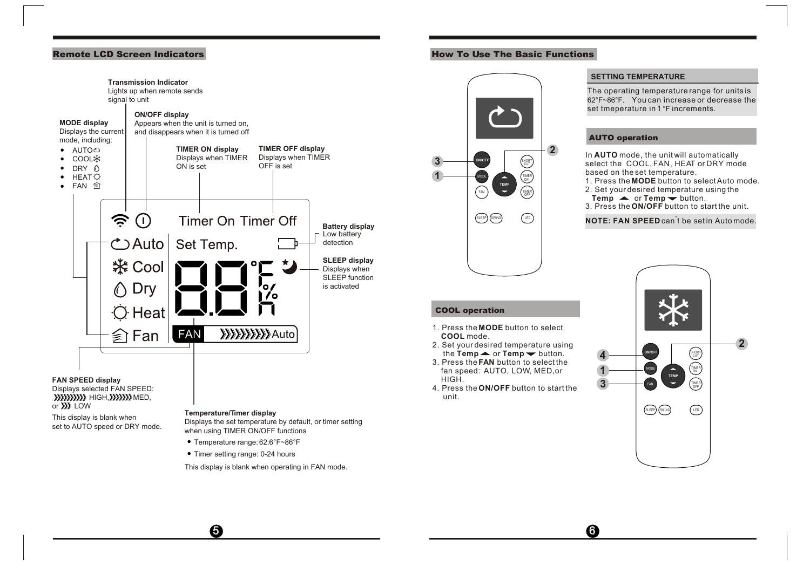

## Remote LCD Screen Indicators **How To Use The Basic Functions**



3. Press the **FAN** button to select the fan speed: AUTO, LOW, MED,or

the  $Temp \rightarrow or Temp \rightarrow$  button.

1. Press the **MODE** button to select

HIGH.

**COOL** mode.

COOL operation

unit.

5 6

#### **SETTING TEMPERATURE**

The operating temperature range for units is  $62^\circ$ F~86°F. You can increase or decrease the set tmeperature in 1 °F increments.

#### AUTO operation

In **AUTO** mode, the unit will automatically select the COOL, FAN, HEAT or DRY mode based on the set temperature.

- 1. Press the **MODE** button to select Auto mode. 2. Set your desired temperature using the
- $T$ emp  $\blacktriangle$  or  $T$ emp  $\blacktriangleright$  button.
- 3. Press the **ON/OFF** button to start the unit.

# **NOTE: FAN SPEED** can<sup>'</sup>t be set in Auto mode.

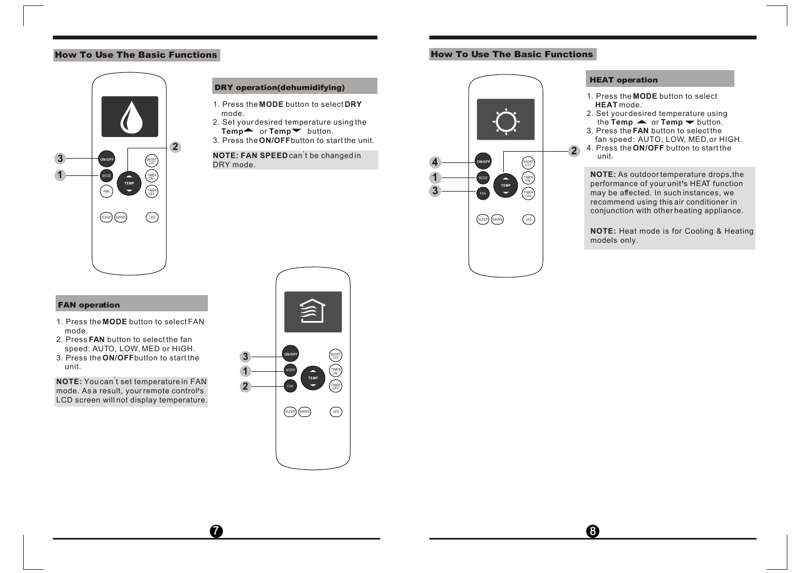# How To Use The Basic Functions **How To Use The Basic Functions**



#### DRY operation(dehumidifying)

- 1. Press the **MODE** button to select **DRY** mode.
- 2. Set your desired temperature using the Temp<sup>\*</sup> or Temp<sup>\*</sup> button.
- 3. Press the **ON/OFF**button to start the unit.

### **NOTE: FAN SPEED** can<sup>'</sup>t be changed in DRY mode.



### HEAT operation

- 1. Press the **MODE** button to select **HEAT** mode.
- 2. Set your desired temperature using the **Temp**  $\blacktriangle$  or **Temp**  $\blacktriangledown$  button.
- 3. Press the **FAN** button to select the fan speed: AUTO, LOW, MED,or HIGH.
- 4. Press the **ON/OFF** button to start the unit.

**NOTE:** As outdoor temperature drops,the performance of your unit's HEAT function may be affected. In such instances, we recommend using this air conditioner in conjunction with other heating appliance.

**NOTE:** Heat mode is for Cooling & Heating models only.

### FAN operation

- 1. Press the **MODE** button to select FAN mode.
- 2. Press **FAN** button to select the fan speed: AUTO, LOW, MED or HIGH.
- 3. Press the **ON/OFF**button to start the unit.

**NOTE:** You can<sup>'</sup>t set temperature in FAN mode. As a result, your remote control s , LCD screen will not display temperature.



 $\overline{a}$  8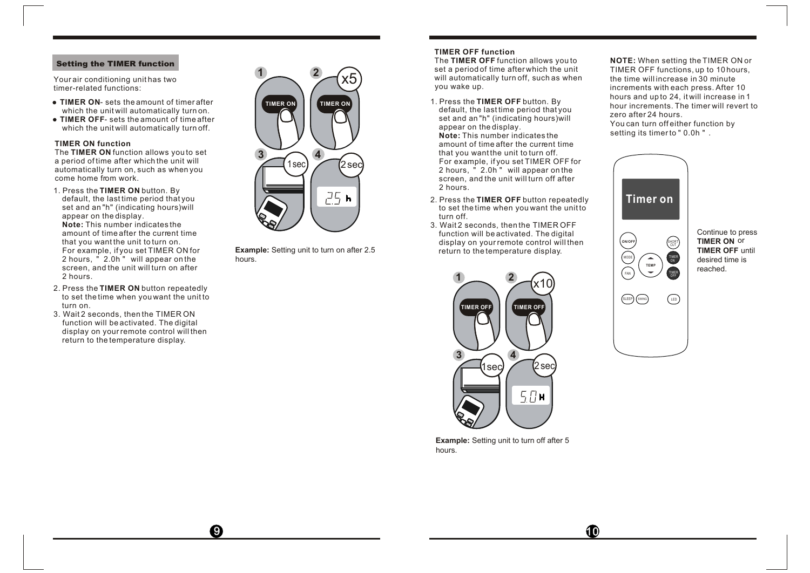### Setting the TIMER function

Your air conditioning unit has two timer-related functions:

- **TIMER ON** sets the amount of timer after which the unit will automatically turn on.
- **TIMER OFF** sets the amount of time after which the unit will automatically turn off

#### **TIMER ON function**

The **TIMER ON** function allows you to set a period of time after which the unit will automatically turn on, such as when you come home from work.

- 1. Press the **TIMER ON** button. By **Note:** This number indicates the amount of time after the current time that you want the unit to turn on. For example, if you set TIMER ON for 2 hours, " 2.0h " will appear on the screen, and the unit will turn on after 2 hours. default, the last time period that you set and an "h" (indicating hours)will appear on the display.
- 2. Press the **TIMER ON** button repeatedly to set the time when you want the unit to turn on.
- 3. Wait 2 seconds, then the TIMER ON function will be activated. The digital display on your remote control will then return to the temperature display.



Example: Setting unit to turn on after 2.5 example: Setting unit to turn on after 2.5 hours.

### **TIMER OFF function**

The **TIMER OFF** function allows you to set a period of time after which the unit will automatically turn off, such as when you wake up.

- 1. Press the **TIMER OFF** button. By **Note:** This number indicates the amount of time after the current time that you want the unit to turn off. For example, if you set TIMER OFF for 2 hours, " 2.0h " will appear on the screen, and the unit will turn off after 2 hours. default, the last time period that you set and an "h" (indicating hours)will appear on the display.
- 2. Press the **TIMER OFF** button repeatedly to set the time when you want the unit to turn off.
- 3. Wait 2 seconds, then the TIMER OFF function will be activated. The digital



**Example:** Setting unit to turn off after 5 hours.

**NOTE:** When setting the TIMER ON or setting its timer to " 0.0h " . TIMER OFF functions, up to 10 hours, the time will increase in 30 minute increments with each press. After 10 hours and up to 24, it will increase in 1 hour increments. The timer will revert to zero after 24 hours. You can turn off either function by



Continue to press **TIMER ON** or **TIMER OFF** until desired time is reached.

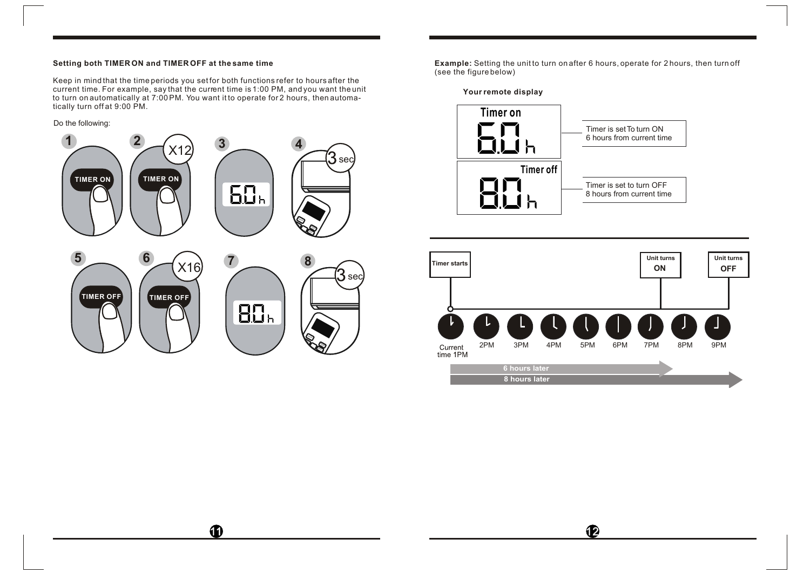#### **Setting both TIMER ON and TIMER OFF at the same time**

Keep in mind that the time periods you set for both functions refer to hours after the current time. For example, say that the current time is 1:00 PM, and you want the unit to turn on automatically at 7:00 PM. You want it to operate for 2 hours, then automatically turn off at 9:00 PM.

### Do the following:



 $\bf{1}$ 

**Example:** Setting the unit to turn on after 6 hours, operate for 2 hours, then turn off (see the figure below)







 $\mathbf P$